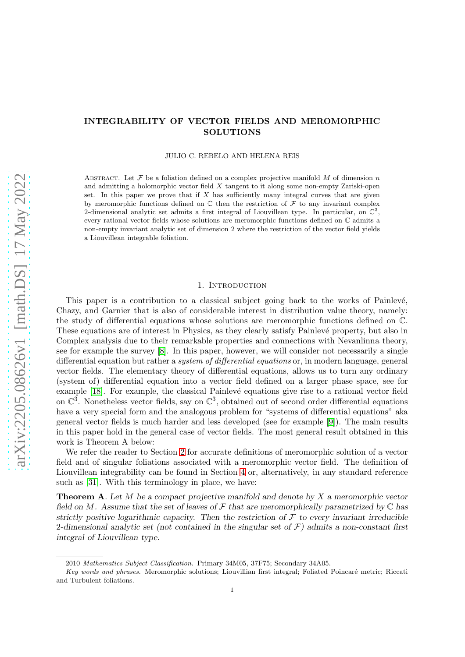## INTEGRABILITY OF VECTOR FIELDS AND MEROMORPHIC SOLUTIONS

JULIO C. REBELO AND HELENA REIS

ABSTRACT. Let  $\mathcal F$  be a foliation defined on a complex projective manifold M of dimension n and admitting a holomorphic vector field  $X$  tangent to it along some non-empty Zariski-open set. In this paper we prove that if  $X$  has sufficiently many integral curves that are given by meromorphic functions defined on  $\mathbb C$  then the restriction of  $\mathcal F$  to any invariant complex 2-dimensional analytic set admits a first integral of Liouvillean type. In particular, on  $\mathbb{C}^3$ , every rational vector fields whose solutions are meromorphic functions defined on C admits a non-empty invariant analytic set of dimension 2 where the restriction of the vector field yields a Liouvillean integrable foliation.

## 1. INTRODUCTION

This paper is a contribution to a classical subject going back to the works of Painlevé, Chazy, and Garnier that is also of considerable interest in distribution value theory, namely: the study of differential equations whose solutions are meromorphic functions defined on C. These equations are of interest in Physics, as they clearly satisfy Painlevé property, but also in Complex analysis due to their remarkable properties and connections with Nevanlinna theory, see for example the survey [\[8\]](#page-13-0). In this paper, however, we will consider not necessarily a single differential equation but rather a system of differential equations or, in modern language, general vector fields. The elementary theory of differential equations, allows us to turn any ordinary (system of) differential equation into a vector field defined on a larger phase space, see for example [\[18\]](#page-13-1). For example, the classical Painlevé equations give rise to a rational vector field on  $\mathbb{C}^3$ . Nonetheless vector fields, say on  $\mathbb{C}^3$ , obtained out of second order differential equations have a very special form and the analogous problem for "systems of differential equations" aka general vector fields is much harder and less developed (see for example [\[9\]](#page-13-2)). The main results in this paper hold in the general case of vector fields. The most general result obtained in this work is Theorem A below:

We refer the reader to Section [2](#page-2-0) for accurate definitions of meromorphic solution of a vector field and of singular foliations associated with a meromorphic vector field. The definition of Liouvillean integrability can be found in Section [4](#page-9-0) or, alternatively, in any standard reference such as [\[31\]](#page-14-0). With this terminology in place, we have:

**Theorem A.** Let  $M$  be a compact projective manifold and denote by  $X$  a meromorphic vector field on M. Assume that the set of leaves of  $\mathcal F$  that are meromorphically parametrized by  $\mathbb C$  has strictly positive logarithmic capacity. Then the restriction of  $\mathcal F$  to every invariant irreducible 2-dimensional analytic set (not contained in the singular set of  $\mathcal{F}$ ) admits a non-constant first integral of Liouvillean type.

<sup>2010</sup> Mathematics Subject Classification. Primary 34M05, 37F75; Secondary 34A05.

Key words and phrases. Meromorphic solutions: Liouvillian first integral; Foliated Poincaré metric; Riccati and Turbulent foliations.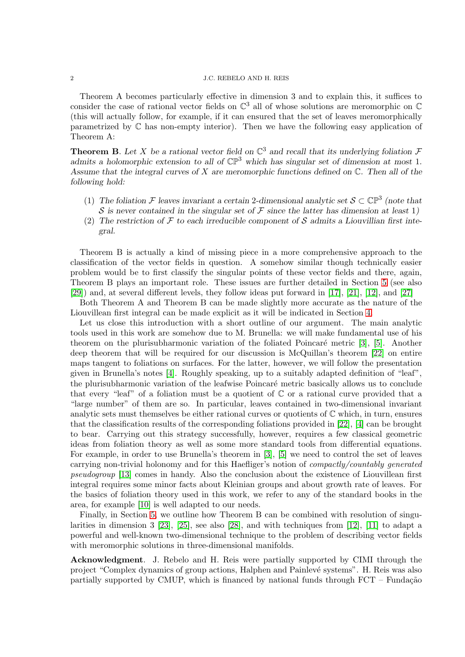Theorem A becomes particularly effective in dimension 3 and to explain this, it suffices to consider the case of rational vector fields on  $\mathbb{C}^3$  all of whose solutions are meromorphic on  $\mathbb C$ (this will actually follow, for example, if it can ensured that the set of leaves meromorphically parametrized by C has non-empty interior). Then we have the following easy application of Theorem A:

**Theorem B.** Let X be a rational vector field on  $\mathbb{C}^3$  and recall that its underlying foliation  $\mathcal F$ admits a holomorphic extension to all of  $\mathbb{CP}^3$  which has singular set of dimension at most 1. Assume that the integral curves of  $X$  are meromorphic functions defined on  $\mathbb{C}$ . Then all of the following hold:

- (1) The foliation F leaves invariant a certain 2-dimensional analytic set  $S \subset \mathbb{CP}^3$  (note that S is never contained in the singular set of F since the latter has dimension at least 1)
- (2) The restriction of F to each irreducible component of S admits a Liouvillian first integral.

Theorem B is actually a kind of missing piece in a more comprehensive approach to the classification of the vector fields in question. A somehow similar though technically easier problem would be to first classify the singular points of these vector fields and there, again, Theorem B plays an important role. These issues are further detailed in Section [5](#page-12-0) (see also [\[29\]](#page-14-1)) and, at several different levels, they follow ideas put forward in [\[17\]](#page-13-3), [\[21\]](#page-14-2), [\[12\]](#page-13-4), and [\[27\]](#page-14-3)

Both Theorem A and Theorem B can be made slightly more accurate as the nature of the Liouvillean first integral can be made explicit as it will be indicated in Section [4.](#page-9-0)

Let us close this introduction with a short outline of our argument. The main analytic tools used in this work are somehow due to M. Brunella: we will make fundamental use of his theorem on the plurisubharmonic variation of the foliated Poincaré metric  $[3]$ ,  $[5]$ . Another deep theorem that will be required for our discussion is McQuillan's theorem [\[22\]](#page-14-4) on entire maps tangent to foliations on surfaces. For the latter, however, we will follow the presentation given in Brunella's notes [\[4\]](#page-13-7). Roughly speaking, up to a suitably adapted definition of "leaf", the plurisubharmonic variation of the leafwise Poincaré metric basically allows us to conclude that every "leaf" of a foliation must be a quotient of  $\mathbb C$  or a rational curve provided that a "large number" of them are so. In particular, leaves contained in two-dimensional invariant analytic sets must themselves be either rational curves or quotients of  $\mathbb C$  which, in turn, ensures that the classification results of the corresponding foliations provided in [\[22\]](#page-14-4), [\[4\]](#page-13-7) can be brought to bear. Carrying out this strategy successfully, however, requires a few classical geometric ideas from foliation theory as well as some more standard tools from differential equations. For example, in order to use Brunella's theorem in [\[3\]](#page-13-5), [\[5\]](#page-13-6) we need to control the set of leaves carrying non-trivial holonomy and for this Haefliger's notion of compactly/countably generated pseudogroup [\[13\]](#page-13-8) comes in handy. Also the conclusion about the existence of Liouvillean first integral requires some minor facts about Kleinian groups and about growth rate of leaves. For the basics of foliation theory used in this work, we refer to any of the standard books in the area, for example [\[10\]](#page-13-9) is well adapted to our needs.

Finally, in Section [5,](#page-12-0) we outline how Theorem B can be combined with resolution of singularities in dimension 3 [\[23\]](#page-14-5), [\[25\]](#page-14-6), see also [\[28\]](#page-14-7), and with techniques from [\[12\]](#page-13-4), [\[11\]](#page-13-10) to adapt a powerful and well-known two-dimensional technique to the problem of describing vector fields with meromorphic solutions in three-dimensional manifolds.

Acknowledgment. J. Rebelo and H. Reis were partially supported by CIMI through the project "Complex dynamics of group actions, Halphen and Painlev´e systems". H. Reis was also partially supported by CMUP, which is financed by national funds through  $FCT$  – Fundação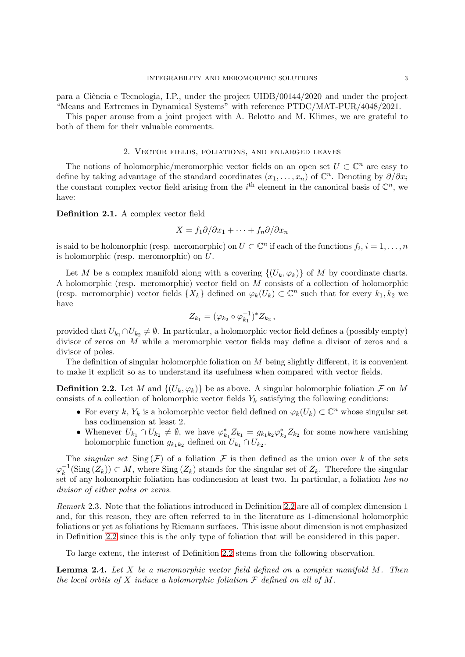para a Ciência e Tecnologia, I.P., under the project UIDB/00144/2020 and under the project "Means and Extremes in Dynamical Systems" with reference PTDC/MAT-PUR/4048/2021.

<span id="page-2-0"></span>This paper arouse from a joint project with A. Belotto and M. Klimes, we are grateful to both of them for their valuable comments.

## 2. Vector fields, foliations, and enlarged leaves

The notions of holomorphic/meromorphic vector fields on an open set  $U \subset \mathbb{C}^n$  are easy to define by taking advantage of the standard coordinates  $(x_1, \ldots, x_n)$  of  $\mathbb{C}^n$ . Denoting by  $\partial/\partial x_i$ the constant complex vector field arising from the  $i^{\text{th}}$  element in the canonical basis of  $\mathbb{C}^n$ , we have:

Definition 2.1. A complex vector field

$$
X = f_1 \partial / \partial x_1 + \dots + f_n \partial / \partial x_n
$$

is said to be holomorphic (resp. meromorphic) on  $U \subset \mathbb{C}^n$  if each of the functions  $f_i, i = 1, \ldots, n$ is holomorphic (resp. meromorphic) on U.

Let M be a complex manifold along with a covering  $\{(U_k, \varphi_k)\}\$  of M by coordinate charts. A holomorphic (resp. meromorphic) vector field on M consists of a collection of holomorphic (resp. meromorphic) vector fields  $\{X_k\}$  defined on  $\varphi_k(U_k) \subset \mathbb{C}^n$  such that for every  $k_1, k_2$  we have

$$
Z_{k_1} = (\varphi_{k_2} \circ \varphi_{k_1}^{-1})^* Z_{k_2},
$$

provided that  $U_{k_1} \cap U_{k_2} \neq \emptyset$ . In particular, a holomorphic vector field defines a (possibly empty) divisor of zeros on M while a meromorphic vector fields may define a divisor of zeros and a divisor of poles.

The definition of singular holomorphic foliation on  $M$  being slightly different, it is convenient to make it explicit so as to understand its usefulness when compared with vector fields.

<span id="page-2-1"></span>**Definition 2.2.** Let M and  $\{(U_k, \varphi_k)\}\)$  be as above. A singular holomorphic foliation  $\mathcal F$  on M consists of a collection of holomorphic vector fields  $Y_k$  satisfying the following conditions:

- For every k,  $Y_k$  is a holomorphic vector field defined on  $\varphi_k(U_k) \subset \mathbb{C}^n$  whose singular set has codimension at least 2.
- Whenever  $U_{k_1} \cap U_{k_2} \neq \emptyset$ , we have  $\varphi_{k_1}^* Z_{k_1} = g_{k_1 k_2} \varphi_{k_2}^* Z_{k_2}$  for some nowhere vanishing holomorphic function  $g_{k_1k_2}$  defined on  $U_{k_1} \cap U_{k_2}$ .

The *singular set*  $\text{Sing}(\mathcal{F})$  of a foliation  $\mathcal{F}$  is then defined as the union over k of the sets  $\varphi_k^{-1}(\mathrm{Sing}\,(Z_k)) \subset M$ , where  $\mathrm{Sing}\,(Z_k)$  stands for the singular set of  $Z_k$ . Therefore the singular set of any holomorphic foliation has codimension at least two. In particular, a foliation has no divisor of either poles or zeros.

Remark 2.3. Note that the foliations introduced in Definition [2.2](#page-2-1) are all of complex dimension 1 and, for this reason, they are often referred to in the literature as 1-dimensional holomorphic foliations or yet as foliations by Riemann surfaces. This issue about dimension is not emphasized in Definition [2.2](#page-2-1) since this is the only type of foliation that will be considered in this paper.

To large extent, the interest of Definition [2.2](#page-2-1) stems from the following observation.

<span id="page-2-2"></span>**Lemma 2.4.** Let  $X$  be a meromorphic vector field defined on a complex manifold  $M$ . Then the local orbits of X induce a holomorphic foliation  $\mathcal F$  defined on all of M.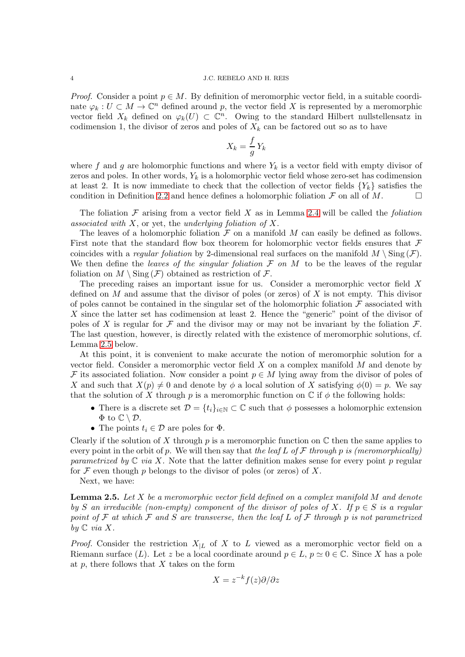*Proof.* Consider a point  $p \in M$ . By definition of meromorphic vector field, in a suitable coordinate  $\varphi_k: U \subset M \to \mathbb{C}^n$  defined around p, the vector field X is represented by a meromorphic vector field  $X_k$  defined on  $\varphi_k(U) \subset \mathbb{C}^n$ . Owing to the standard Hilbert nullstellensatz in codimension 1, the divisor of zeros and poles of  $X_k$  can be factored out so as to have

$$
X_k = \frac{f}{g} Y_k
$$

where f and g are holomorphic functions and where  $Y_k$  is a vector field with empty divisor of zeros and poles. In other words,  $Y_k$  is a holomorphic vector field whose zero-set has codimension at least 2. It is now immediate to check that the collection of vector fields  ${Y_k}$  satisfies the condition in Definition [2.2](#page-2-1) and hence defines a holomorphic foliation  $\mathcal F$  on all of  $M$ .

The foliation  $\mathcal F$  arising from a vector field X as in Lemma [2.4](#page-2-2) will be called the *foliation* associated with  $X$ , or yet, the underlying foliation of  $X$ .

The leaves of a holomorphic foliation  $\mathcal F$  on a manifold  $M$  can easily be defined as follows. First note that the standard flow box theorem for holomorphic vector fields ensures that  $\mathcal F$ coincides with a *regular foliation* by 2-dimensional real surfaces on the manifold  $M \setminus \text{Sing}(\mathcal{F})$ . We then define the leaves of the singular foliation  $\mathcal F$  on  $M$  to be the leaves of the regular foliation on  $M \setminus \text{Sing}(\mathcal{F})$  obtained as restriction of  $\mathcal{F}$ .

The preceding raises an important issue for us. Consider a meromorphic vector field X defined on  $M$  and assume that the divisor of poles (or zeros) of  $X$  is not empty. This divisor of poles cannot be contained in the singular set of the holomorphic foliation  $\mathcal F$  associated with X since the latter set has codimension at least 2. Hence the "generic" point of the divisor of poles of X is regular for F and the divisor may or may not be invariant by the foliation  $\mathcal F$ . The last question, however, is directly related with the existence of meromorphic solutions, cf. Lemma [2.5](#page-3-0) below.

At this point, it is convenient to make accurate the notion of meromorphic solution for a vector field. Consider a meromorphic vector field  $X$  on a complex manifold  $M$  and denote by F its associated foliation. Now consider a point  $p \in M$  lying away from the divisor of poles of X and such that  $X(p) \neq 0$  and denote by  $\phi$  a local solution of X satisfying  $\phi(0) = p$ . We say that the solution of X through p is a meromorphic function on  $\mathbb C$  if  $\phi$  the following holds:

- There is a discrete set  $\mathcal{D} = \{t_i\}_{i \in \mathbb{N}} \subset \mathbb{C}$  such that  $\phi$  possesses a holomorphic extension  $\Phi$  to  $\mathbb{C} \setminus \mathcal{D}$ .
- The points  $t_i \in \mathcal{D}$  are poles for  $\Phi$ .

Clearly if the solution of X through p is a meromorphic function on  $\mathbb C$  then the same applies to every point in the orbit of p. We will then say that the leaf L of F through p is (meromorphically) parametrized by  $\mathbb C$  via X. Note that the latter definition makes sense for every point p regular for  $\mathcal F$  even though p belongs to the divisor of poles (or zeros) of X.

Next, we have:

<span id="page-3-0"></span>**Lemma 2.5.** Let X be a meromorphic vector field defined on a complex manifold M and denote by S an irreducible (non-empty) component of the divisor of poles of X. If  $p \in S$  is a regular point of F at which F and S are transverse, then the leaf L of F through p is not parametrized by  $\mathbb C$  via X.

*Proof.* Consider the restriction  $X_{|L}$  of X to L viewed as a meromorphic vector field on a Riemann surface (L). Let z be a local coordinate around  $p \in L$ ,  $p \simeq 0 \in \mathbb{C}$ . Since X has a pole at  $p$ , there follows that  $X$  takes on the form

$$
X = z^{-k} f(z) \partial/\partial z
$$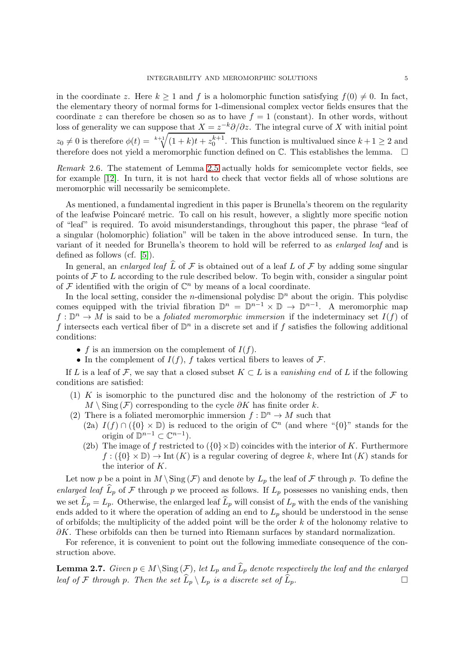in the coordinate z. Here  $k \geq 1$  and f is a holomorphic function satisfying  $f(0) \neq 0$ . In fact, the elementary theory of normal forms for 1-dimensional complex vector fields ensures that the coordinate z can therefore be chosen so as to have  $f = 1$  (constant). In other words, without loss of generality we can suppose that  $X = z^{-k}\partial/\partial z$ . The integral curve of X with initial point  $z_0 \neq 0$  is therefore  $\phi(t) = \sqrt[k+1]{(1+k)t + z_0^{k+1}}$ . This function is multivalued since  $k+1 \geq 2$  and therefore does not yield a meromorphic function defined on  $\mathbb C$ . This establishes the lemma.  $\Box$ 

Remark 2.6. The statement of Lemma [2.5](#page-3-0) actually holds for semicomplete vector fields, see for example [\[12\]](#page-13-4). In turn, it is not hard to check that vector fields all of whose solutions are meromorphic will necessarily be semicomplete.

As mentioned, a fundamental ingredient in this paper is Brunella's theorem on the regularity of the leafwise Poincar´e metric. To call on his result, however, a slightly more specific notion of "leaf" is required. To avoid misunderstandings, throughout this paper, the phrase "leaf of a singular (holomorphic) foliation" will be taken in the above introduced sense. In turn, the variant of it needed for Brunella's theorem to hold will be referred to as enlarged leaf and is defined as follows (cf. [\[5\]](#page-13-6)).

In general, an enlarged leaf  $\widehat{L}$  of F is obtained out of a leaf L of F by adding some singular points of  $\mathcal F$  to  $L$  according to the rule described below. To begin with, consider a singular point of  $\mathcal F$  identified with the origin of  $\mathbb C^n$  by means of a local coordinate.

In the local setting, consider the *n*-dimensional polydisc  $\mathbb{D}^n$  about the origin. This polydisc comes equipped with the trivial fibration  $\mathbb{D}^n = \mathbb{D}^{n-1} \times \mathbb{D} \to \mathbb{D}^{n-1}$ . A meromorphic map  $f: \mathbb{D}^n \to M$  is said to be a *foliated meromorphic immersion* if the indeterminacy set  $I(f)$  of f intersects each vertical fiber of  $\mathbb{D}^n$  in a discrete set and if f satisfies the following additional conditions:

- f is an immersion on the complement of  $I(f)$ .
- In the complement of  $I(f)$ , f takes vertical fibers to leaves of F.

If L is a leaf of F, we say that a closed subset  $K \subset L$  is a vanishing end of L if the following conditions are satisfied:

- (1) K is isomorphic to the punctured disc and the holonomy of the restriction of  $\mathcal F$  to  $M \setminus Sing(\mathcal{F})$  corresponding to the cycle  $\partial K$  has finite order k.
- (2) There is a foliated meromorphic immersion  $f : \mathbb{D}^n \to M$  such that
	- (2a)  $I(f) \cap (\{0\} \times \mathbb{D})$  is reduced to the origin of  $\mathbb{C}^n$  (and where " $\{0\}$ " stands for the origin of  $\mathbb{D}^{n-1} \subset \mathbb{C}^{n-1}$ .
	- (2b) The image of f restricted to  $({0} \times \mathbb{D})$  coincides with the interior of K. Furthermore  $f: (\{0\} \times \mathbb{D}) \to \text{Int}(K)$  is a regular covering of degree k, where Int  $(K)$  stands for the interior of K.

Let now p be a point in  $M \setminus Sing(\mathcal{F})$  and denote by  $L_p$  the leaf of  $\mathcal F$  through p. To define the enlarged leaf  $\tilde{L}_p$  of F through p we proceed as follows. If  $L_p$  possesses no vanishing ends, then we set  $\widehat{L}_p = L_p$ . Otherwise, the enlarged leaf  $\widehat{L}_p$  will consist of  $L_p$  with the ends of the vanishing ends added to it where the operation of adding an end to  $L_p$  should be understood in the sense of orbifolds; the multiplicity of the added point will be the order  $k$  of the holonomy relative to  $\partial K$ . These orbifolds can then be turned into Riemann surfaces by standard normalization.

For reference, it is convenient to point out the following immediate consequence of the construction above.

**Lemma 2.7.** Given  $p \in M \setminus Sing(\mathcal{F})$ , let  $L_p$  and  $\widehat{L}_p$  denote respectively the leaf and the enlarged leaf of F through p. Then the set  $\widehat{L}_p \setminus L_p$  is a discrete set of  $\widehat{L}_p$ .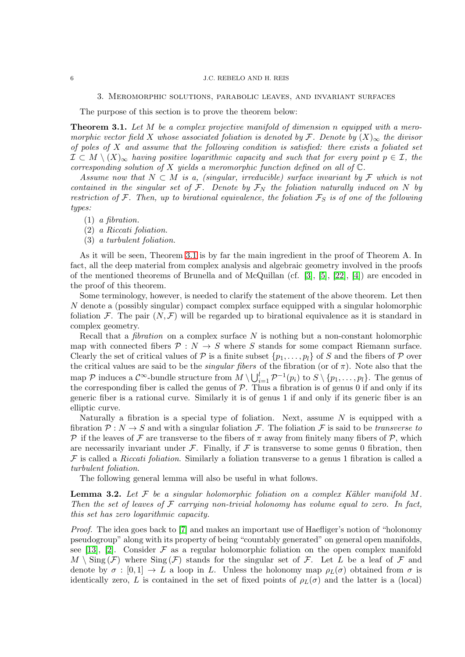#### 3. Meromorphic solutions, parabolic leaves, and invariant surfaces

<span id="page-5-2"></span>The purpose of this section is to prove the theorem below:

<span id="page-5-0"></span>**Theorem 3.1.** Let  $M$  be a complex projective manifold of dimension n equipped with a meromorphic vector field X whose associated foliation is denoted by F. Denote by  $(X)_{\infty}$  the divisor of poles of  $X$  and assume that the following condition is satisfied: there exists a foliated set  $\mathcal{I} \subset M \setminus (X)_{\infty}$  having positive logarithmic capacity and such that for every point  $p \in \mathcal{I}$ , the corresponding solution of X yields a meromorphic function defined on all of  $\mathbb{C}$ .

Assume now that  $N \subset M$  is a, (singular, irreducible) surface invariant by F which is not contained in the singular set of F. Denote by  $\mathcal{F}_N$  the foliation naturally induced on N by restriction of  $\mathcal F$ . Then, up to birational equivalence, the foliation  $\mathcal F_S$  is of one of the following types:

(1) a fibration.

(2) a Riccati foliation.

(3) a turbulent foliation.

As it will be seen, Theorem [3.1](#page-5-0) is by far the main ingredient in the proof of Theorem A. In fact, all the deep material from complex analysis and algebraic geometry involved in the proofs of the mentioned theorems of Brunella and of McQuillan (cf. [\[3\]](#page-13-5), [\[5\]](#page-13-6), [\[22\]](#page-14-4), [\[4\]](#page-13-7)) are encoded in the proof of this theorem.

Some terminology, however, is needed to clarify the statement of the above theorem. Let then N denote a (possibly singular) compact complex surface equipped with a singular holomorphic foliation F. The pair  $(N, \mathcal{F})$  will be regarded up to birational equivalence as it is standard in complex geometry.

Recall that a *fibration* on a complex surface  $N$  is nothing but a non-constant holomorphic map with connected fibers  $P: N \to S$  where S stands for some compact Riemann surface. Clearly the set of critical values of  $P$  is a finite subset  $\{p_1, \ldots, p_l\}$  of S and the fibers of P over the critical values are said to be the *singular fibers* of the fibration (or of  $\pi$ ). Note also that the map  $P$  induces a  $C^{\infty}$ -bundle structure from  $M \setminus \bigcup_{i=1}^{l} \mathcal{P}^{-1}(p_i)$  to  $S \setminus \{p_1, \ldots, p_l\}$ . The genus of the corresponding fiber is called the genus of  $P$ . Thus a fibration is of genus 0 if and only if its generic fiber is a rational curve. Similarly it is of genus 1 if and only if its generic fiber is an elliptic curve.

Naturally a fibration is a special type of foliation. Next, assume  $N$  is equipped with a fibration  $P: N \to S$  and with a singular foliation F. The foliation F is said to be transverse to P if the leaves of F are transverse to the fibers of  $\pi$  away from finitely many fibers of P, which are necessarily invariant under  $\mathcal F$ . Finally, if  $\mathcal F$  is transverse to some genus 0 fibration, then  $\mathcal F$  is called a *Riccati foliation*. Similarly a foliation transverse to a genus 1 fibration is called a turbulent foliation.

The following general lemma will also be useful in what follows.

<span id="page-5-1"></span>**Lemma 3.2.** Let  $F$  be a singular holomorphic foliation on a complex Kähler manifold M. Then the set of leaves of  $\mathcal F$  carrying non-trivial holonomy has volume equal to zero. In fact, this set has zero logarithmic capacity.

Proof. The idea goes back to [\[7\]](#page-13-11) and makes an important use of Haefliger's notion of "holonomy pseudogroup" along with its property of being "countably generated" on general open manifolds, see [\[13\]](#page-13-8), [\[2\]](#page-13-12). Consider  $\mathcal F$  as a regular holomorphic foliation on the open complex manifold  $M \setminus \text{Sing}(\mathcal{F})$  where  $\text{Sing}(\mathcal{F})$  stands for the singular set of  $\mathcal{F}$ . Let L be a leaf of  $\mathcal{F}$  and denote by  $\sigma : [0,1] \to L$  a loop in L. Unless the holonomy map  $\rho_L(\sigma)$  obtained from  $\sigma$  is identically zero, L is contained in the set of fixed points of  $\rho_L(\sigma)$  and the latter is a (local)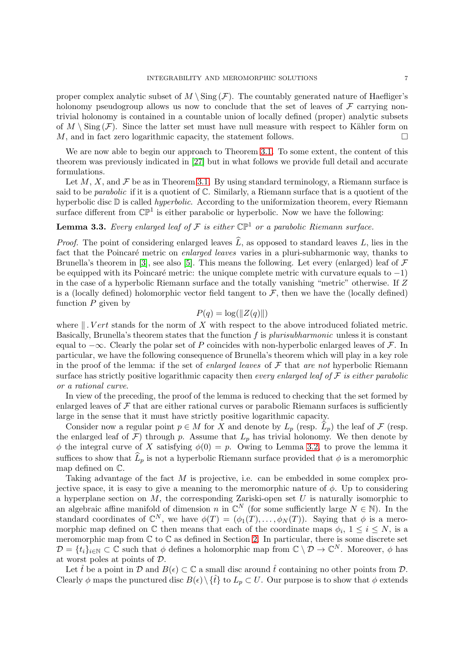proper complex analytic subset of  $M \setminus Sing(\mathcal{F})$ . The countably generated nature of Haefliger's holonomy pseudogroup allows us now to conclude that the set of leaves of  $\mathcal F$  carrying nontrivial holonomy is contained in a countable union of locally defined (proper) analytic subsets of  $M \setminus \text{Sing}(\mathcal{F})$ . Since the latter set must have null measure with respect to Kähler form on M, and in fact zero logarithmic capacity, the statement follows.  $\Box$ 

We are now able to begin our approach to Theorem [3.1.](#page-5-0) To some extent, the content of this theorem was previously indicated in [\[27\]](#page-14-3) but in what follows we provide full detail and accurate formulations.

Let M, X, and  $\mathcal F$  be as in Theorem [3.1.](#page-5-0) By using standard terminology, a Riemann surface is said to be *parabolic* if it is a quotient of  $\mathbb{C}$ . Similarly, a Riemann surface that is a quotient of the hyperbolic disc  $D$  is called *hyperbolic*. According to the uniformization theorem, every Riemann surface different from  $\mathbb{CP}^1$  is either parabolic or hyperbolic. Now we have the following:

# <span id="page-6-0"></span>**Lemma 3.3.** Every enlarged leaf of F is either  $\mathbb{CP}^1$  or a parabolic Riemann surface.

*Proof.* The point of considering enlarged leaves  $\hat{L}$ , as opposed to standard leaves L, lies in the fact that the Poincaré metric on enlarged leaves varies in a pluri-subharmonic way, thanks to Brunella's theorem in [\[3\]](#page-13-5), see also [\[5\]](#page-13-6). This means the following. Let every (enlarged) leaf of  $\mathcal F$ be equipped with its Poincaré metric: the unique complete metric with curvature equals to  $-1$ ) in the case of a hyperbolic Riemann surface and the totally vanishing "metric" otherwise. If Z is a (locally defined) holomorphic vector field tangent to  $\mathcal F$ , then we have the (locally defined) function  $P$  given by

$$
P(q) = \log(||Z(q)||)
$$

where  $\parallel$ . Vert stands for the norm of X with respect to the above introduced foliated metric. Basically, Brunella's theorem states that the function f is plurisubharmonic unless it is constant equal to  $-\infty$ . Clearly the polar set of P coincides with non-hyperbolic enlarged leaves of F. In particular, we have the following consequence of Brunella's theorem which will play in a key role in the proof of the lemma: if the set of enlarged leaves of  $\mathcal F$  that are not hyperbolic Riemann surface has strictly positive logarithmic capacity then every enlarged leaf of  $\mathcal F$  is either parabolic or a rational curve.

In view of the preceding, the proof of the lemma is reduced to checking that the set formed by enlarged leaves of  $\mathcal F$  that are either rational curves or parabolic Riemann surfaces is sufficiently large in the sense that it must have strictly positive logarithmic capacity.

Consider now a regular point  $p \in M$  for X and denote by  $L_p$  (resp.  $\widehat{L}_p$ ) the leaf of F (resp. the enlarged leaf of  $\mathcal{F}$ ) through p. Assume that  $L_p$  has trivial holonomy. We then denote by  $\phi$  the integral curve of X satisfying  $\phi(0) = p$ . Owing to Lemma [3.2,](#page-5-1) to prove the lemma it suffices to show that  $\widehat{L}_p$  is not a hyperbolic Riemann surface provided that  $\phi$  is a meromorphic map defined on C.

Taking advantage of the fact M is projective, i.e. can be embedded in some complex projective space, it is easy to give a meaning to the meromorphic nature of  $\phi$ . Up to considering a hyperplane section on  $M$ , the corresponding Zariski-open set  $U$  is naturally isomorphic to an algebraic affine manifold of dimension n in  $\mathbb{C}^N$  (for some sufficiently large  $N \in \mathbb{N}$ ). In the standard coordinates of  $\mathbb{C}^N$ , we have  $\phi(T) = (\phi_1(T), \ldots, \phi_N(T))$ . Saying that  $\phi$  is a meromorphic map defined on  $\mathbb C$  then means that each of the coordinate maps  $\phi_i$ ,  $1 \leq i \leq N$ , is a meromorphic map from  $\mathbb C$  to  $\mathbb C$  as defined in Section [2.](#page-2-0) In particular, there is some discrete set  $\mathcal{D} = \{t_i\}_{i \in \mathbb{N}} \subset \mathbb{C}$  such that  $\phi$  defines a holomorphic map from  $\mathbb{C} \setminus \mathcal{D} \to \mathbb{C}^N$ . Moreover,  $\phi$  has at worst poles at points of D.

Let  $\hat{t}$  be a point in D and  $B(\epsilon) \subset \mathbb{C}$  a small disc around  $\hat{t}$  containing no other points from D. Clearly  $\phi$  maps the punctured disc  $B(\epsilon) \setminus {\hat{t}}$  to  $L_p \subset U$ . Our purpose is to show that  $\phi$  extends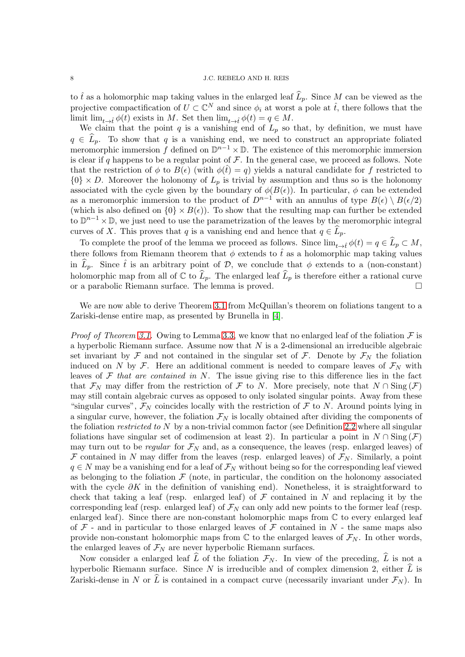to  $\hat{t}$  as a holomorphic map taking values in the enlarged leaf  $\widehat{L}_p$ . Since M can be viewed as the projective compactification of  $U \subset \mathbb{C}^N$  and since  $\phi_i$  at worst a pole at  $\hat{t}$ , there follows that the limit  $\lim_{t\to\hat{t}}\phi(t)$  exists in M. Set then  $\lim_{t\to\hat{t}}\phi(t) = q \in M$ .

We claim that the point q is a vanishing end of  $L_p$  so that, by definition, we must have  $q \in \hat{L}_p$ . To show that q is a vanishing end, we need to construct an appropriate foliated meromorphic immersion f defined on  $\mathbb{D}^{n-1}\times\mathbb{D}$ . The existence of this meromorphic immersion is clear if q happens to be a regular point of  $\mathcal F$ . In the general case, we proceed as follows. Note that the restriction of  $\phi$  to  $B(\epsilon)$  (with  $\phi(\hat{t}) = q$ ) yields a natural candidate for f restricted to  ${0} \times D$ . Moreover the holonomy of  $L_p$  is trivial by assumption and thus so is the holonomy associated with the cycle given by the boundary of  $\phi(B(\epsilon))$ . In particular,  $\phi$  can be extended as a meromorphic immersion to the product of  $D^{n-1}$  with an annulus of type  $B(\epsilon) \setminus B(\epsilon/2)$ (which is also defined on  $\{0\} \times B(\epsilon)$ ). To show that the resulting map can further be extended to  $\mathbb{D}^{n-1}\times\mathbb{D}$ , we just need to use the parametrization of the leaves by the meromorphic integral curves of X. This proves that q is a vanishing end and hence that  $q \in L_p$ .

To complete the proof of the lemma we proceed as follows. Since  $\lim_{t\to\hat{t}}\phi(t)=q\in\widehat{L}_p\subset M$ , there follows from Riemann theorem that  $\phi$  extends to  $\hat{t}$  as a holomorphic map taking values in  $L_p$ . Since  $\hat{t}$  is an arbitrary point of D, we conclude that  $\phi$  extends to a (non-constant) holomorphic map from all of  $\mathbb C$  to  $\widehat{L}_p$ . The enlarged leaf  $\widehat{L}_p$  is therefore either a rational curve or a parabolic Riemann surface. The lemma is proved.

We are now able to derive Theorem [3.1](#page-5-0) from McQuillan's theorem on foliations tangent to a Zariski-dense entire map, as presented by Brunella in [\[4\]](#page-13-7).

*Proof of Theorem [3.1.](#page-5-0)* Owing to Lemma [3.3,](#page-6-0) we know that no enlarged leaf of the foliation  $\mathcal F$  is a hyperbolic Riemann surface. Assume now that  $N$  is a 2-dimensional an irreducible algebraic set invariant by F and not contained in the singular set of F. Denote by  $\mathcal{F}_N$  the foliation induced on N by F. Here an additional comment is needed to compare leaves of  $\mathcal{F}_N$  with leaves of  $\mathcal F$  that are contained in N. The issue giving rise to this difference lies in the fact that  $\mathcal{F}_N$  may differ from the restriction of  $\mathcal F$  to N. More precisely, note that  $N \cap \text{Sing}(\mathcal F)$ may still contain algebraic curves as opposed to only isolated singular points. Away from these "singular curves",  $\mathcal{F}_N$  coincides locally with the restriction of  $\mathcal F$  to N. Around points lying in a singular curve, however, the foliation  $\mathcal{F}_N$  is locally obtained after dividing the components of the foliation *restricted to*  $N$  by a non-trivial common factor (see Definition [2.2](#page-2-1) where all singular foliations have singular set of codimension at least 2). In particular a point in  $N \cap Sing(F)$ may turn out to be *regular* for  $\mathcal{F}_N$  and, as a consequence, the leaves (resp. enlarged leaves) of  $\mathcal F$  contained in N may differ from the leaves (resp. enlarged leaves) of  $\mathcal F_N$ . Similarly, a point  $q \in N$  may be a vanishing end for a leaf of  $\mathcal{F}_N$  without being so for the corresponding leaf viewed as belonging to the foliation  $\mathcal F$  (note, in particular, the condition on the holonomy associated with the cycle  $\partial K$  in the definition of vanishing end). Nonetheless, it is straightforward to check that taking a leaf (resp. enlarged leaf) of  $\mathcal F$  contained in N and replacing it by the corresponding leaf (resp. enlarged leaf) of  $\mathcal{F}_N$  can only add new points to the former leaf (resp. enlarged leaf). Since there are non-constant holomorphic maps from  $\mathbb C$  to every enlarged leaf of  $\mathcal F$  - and in particular to those enlarged leaves of  $\mathcal F$  contained in N - the same maps also provide non-constant holomorphic maps from  $\mathbb C$  to the enlarged leaves of  $\mathcal F_N$ . In other words, the enlarged leaves of  $\mathcal{F}_N$  are never hyperbolic Riemann surfaces.

Now consider a enlarged leaf L of the foliation  $\mathcal{F}_N$ . In view of the preceding,  $\widehat{L}$  is not a hyperbolic Riemann surface. Since N is irreducible and of complex dimension 2, either  $\widehat{L}$  is Zariski-dense in N or  $\widehat{L}$  is contained in a compact curve (necessarily invariant under  $\mathcal{F}_N$ ). In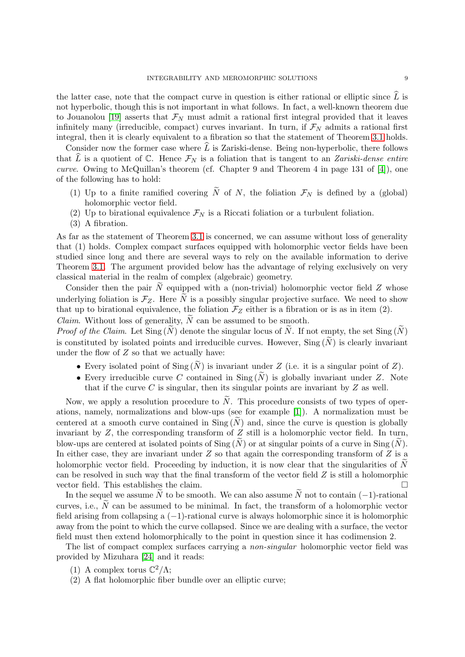the latter case, note that the compact curve in question is either rational or elliptic since  $\tilde{L}$  is not hyperbolic, though this is not important in what follows. In fact, a well-known theorem due to Jouanolou [\[19\]](#page-13-13) asserts that  $\mathcal{F}_N$  must admit a rational first integral provided that it leaves infinitely many (irreducible, compact) curves invariant. In turn, if  $\mathcal{F}_N$  admits a rational first integral, then it is clearly equivalent to a fibration so that the statement of Theorem [3.1](#page-5-0) holds.

Consider now the former case where  $\widehat{L}$  is Zariski-dense. Being non-hyperbolic, there follows that  $\widehat{L}$  is a quotient of C. Hence  $\mathcal{F}_N$  is a foliation that is tangent to an Zariski-dense entire curve. Owing to McQuillan's theorem (cf. Chapter 9 and Theorem 4 in page 131 of [\[4\]](#page-13-7)), one of the following has to hold:

- (1) Up to a finite ramified covering  $\widetilde{N}$  of N, the foliation  $\mathcal{F}_N$  is defined by a (global) holomorphic vector field.
- (2) Up to birational equivalence  $\mathcal{F}_N$  is a Riccati foliation or a turbulent foliation.
- (3) A fibration.

As far as the statement of Theorem [3.1](#page-5-0) is concerned, we can assume without loss of generality that (1) holds. Complex compact surfaces equipped with holomorphic vector fields have been studied since long and there are several ways to rely on the available information to derive Theorem [3.1.](#page-5-0) The argument provided below has the advantage of relying exclusively on very classical material in the realm of complex (algebraic) geometry.

Consider then the pair  $\tilde{N}$  equipped with a (non-trivial) holomorphic vector field Z whose underlying foliation is  $\mathcal{F}_Z$ . Here  $\widetilde{N}$  is a possibly singular projective surface. We need to show that up to birational equivalence, the foliation  $\mathcal{F}_Z$  either is a fibration or is as in item (2). *Claim.* Without loss of generality,  $\widetilde{N}$  can be assumed to be smooth.

*Proof of the Claim.* Let  $\text{Sing}(\tilde{N})$  denote the singular locus of  $\tilde{N}$ . If not empty, the set  $\text{Sing}(\tilde{N})$ is constituted by isolated points and irreducible curves. However,  $\text{Sing}(\widetilde{N})$  is clearly invariant under the flow of  $Z$  so that we actually have:

- Every isolated point of  $\text{Sing}(N)$  is invariant under Z (i.e. it is a singular point of Z).
- Every irreducible curve C contained in  $\text{Sing}(N)$  is globally invariant under Z. Note that if the curve  $C$  is singular, then its singular points are invariant by  $Z$  as well.

Now, we apply a resolution procedure to  $\tilde{N}$ . This procedure consists of two types of operations, namely, normalizations and blow-ups (see for example [\[1\]](#page-13-14)). A normalization must be centered at a smooth curve contained in  $\text{Sing}(\tilde{N})$  and, since the curve is question is globally invariant by  $Z$ , the corresponding transform of  $Z$  still is a holomorphic vector field. In turn, blow-ups are centered at isolated points of Sing  $(\widetilde{N})$  or at singular points of a curve in Sing  $(\widetilde{N})$ . In either case, they are invariant under  $Z$  so that again the corresponding transform of  $Z$  is a holomorphic vector field. Proceeding by induction, it is now clear that the singularities of  $\tilde{N}$ can be resolved in such way that the final transform of the vector field  $Z$  is still a holomorphic vector field. This establishes the claim.

In the sequel we assume  $\tilde{N}$  to be smooth. We can also assume  $\tilde{N}$  not to contain (-1)-rational curves, i.e.,  $\tilde{N}$  can be assumed to be minimal. In fact, the transform of a holomorphic vector field arising from collapsing a (−1)-rational curve is always holomorphic since it is holomorphic away from the point to which the curve collapsed. Since we are dealing with a surface, the vector field must then extend holomorphically to the point in question since it has codimension 2.

The list of compact complex surfaces carrying a *non-singular* holomorphic vector field was provided by Mizuhara [\[24\]](#page-14-8) and it reads:

- (1) A complex torus  $\mathbb{C}^2/\Lambda$ ;
- (2) A flat holomorphic fiber bundle over an elliptic curve;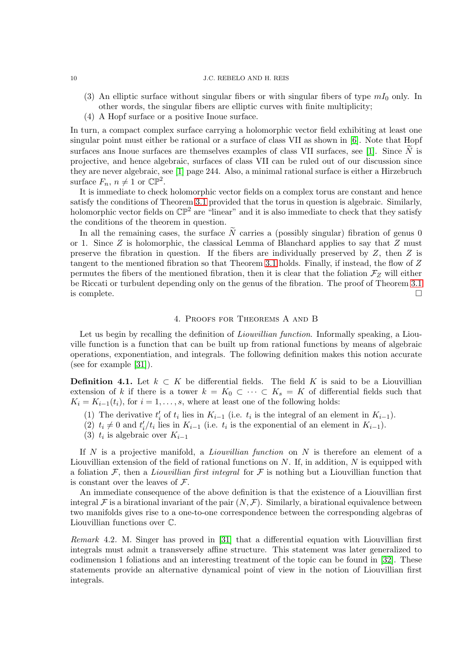- (3) An elliptic surface without singular fibers or with singular fibers of type  $mI_0$  only. In other words, the singular fibers are elliptic curves with finite multiplicity;
- (4) A Hopf surface or a positive Inoue surface.

In turn, a compact complex surface carrying a holomorphic vector field exhibiting at least one singular point must either be rational or a surface of class VII as shown in [\[6\]](#page-13-15). Note that Hopf surfaces ans Inoue surfaces are themselves examples of class VII surfaces, see [\[1\]](#page-13-14). Since  $\tilde{N}$  is projective, and hence algebraic, surfaces of class VII can be ruled out of our discussion since they are never algebraic, see [\[1\]](#page-13-14) page 244. Also, a minimal rational surface is either a Hirzebruch surface  $F_n$ ,  $n \neq 1$  or  $\mathbb{CP}^2$ .

It is immediate to check holomorphic vector fields on a complex torus are constant and hence satisfy the conditions of Theorem [3.1](#page-5-0) provided that the torus in question is algebraic. Similarly, holomorphic vector fields on  $\mathbb{CP}^2$  are "linear" and it is also immediate to check that they satisfy the conditions of the theorem in question.

In all the remaining cases, the surface  $\tilde{N}$  carries a (possibly singular) fibration of genus 0 or 1. Since  $Z$  is holomorphic, the classical Lemma of Blanchard applies to say that  $Z$  must preserve the fibration in question. If the fibers are individually preserved by  $Z$ , then  $Z$  is tangent to the mentioned fibration so that Theorem [3.1](#page-5-0) holds. Finally, if instead, the flow of Z permutes the fibers of the mentioned fibration, then it is clear that the foliation  $\mathcal{F}_Z$  will either be Riccati or turbulent depending only on the genus of the fibration. The proof of Theorem [3.1](#page-5-0) is complete.  $\Box$ 

## 4. Proofs for Theorems A and B

<span id="page-9-0"></span>Let us begin by recalling the definition of *Liouvillian function*. Informally speaking, a Liouville function is a function that can be built up from rational functions by means of algebraic operations, exponentiation, and integrals. The following definition makes this notion accurate (see for example [\[31\]](#page-14-0)).

**Definition 4.1.** Let  $k \subset K$  be differential fields. The field K is said to be a Liouvillian extension of k if there is a tower  $k = K_0 \subset \cdots \subset K_s = K$  of differential fields such that  $K_i = K_{i-1}(t_i)$ , for  $i = 1, \ldots, s$ , where at least one of the following holds:

- (1) The derivative  $t'_{i}$  of  $t_{i}$  lies in  $K_{i-1}$  (i.e.  $t_{i}$  is the integral of an element in  $K_{i-1}$ ).
- (2)  $t_i \neq 0$  and  $t'_i/t_i$  lies in  $K_{i-1}$  (i.e.  $t_i$  is the exponential of an element in  $K_{i-1}$ ).
- (3)  $t_i$  is algebraic over  $K_{i-1}$

If N is a projective manifold, a *Liouvillian function* on N is therefore an element of a Liouvillian extension of the field of rational functions on  $N$ . If, in addition,  $N$  is equipped with a foliation F, then a *Liouvillian first integral* for F is nothing but a Liouvillian function that is constant over the leaves of  $\mathcal{F}.$ 

An immediate consequence of the above definition is that the existence of a Liouvillian first integral F is a birational invariant of the pair  $(N, \mathcal{F})$ . Similarly, a birational equivalence between two manifolds gives rise to a one-to-one correspondence between the corresponding algebras of Liouvillian functions over C.

<span id="page-9-1"></span>Remark 4.2. M. Singer has proved in [\[31\]](#page-14-0) that a differential equation with Liouvillian first integrals must admit a transversely affine structure. This statement was later generalized to codimension 1 foliations and an interesting treatment of the topic can be found in [\[32\]](#page-14-9). These statements provide an alternative dynamical point of view in the notion of Liouvillian first integrals.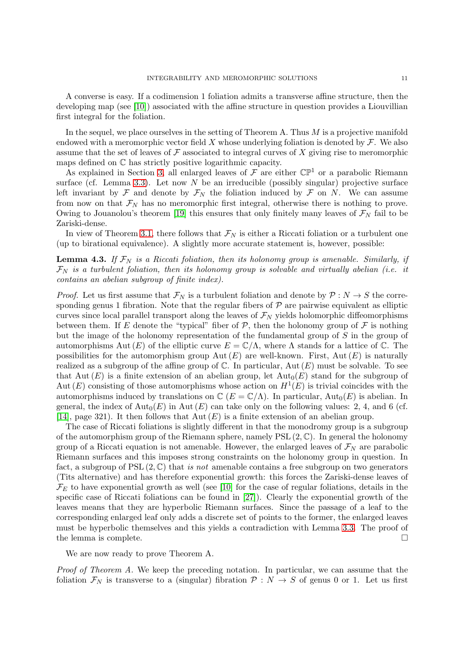A converse is easy. If a codimension 1 foliation admits a transverse affine structure, then the developing map (see [\[10\]](#page-13-9)) associated with the affine structure in question provides a Liouvillian first integral for the foliation.

In the sequel, we place ourselves in the setting of Theorem A. Thus  $M$  is a projective manifold endowed with a meromorphic vector field X whose underlying foliation is denoted by  $\mathcal{F}$ . We also assume that the set of leaves of  $\mathcal F$  associated to integral curves of  $X$  giving rise to meromorphic maps defined on C has strictly positive logarithmic capacity.

As explained in Section [3,](#page-5-2) all enlarged leaves of  $\mathcal{F}$  are either  $\mathbb{CP}^1$  or a parabolic Riemann surface (cf. Lemma [3.3\)](#page-6-0). Let now  $N$  be an irreducible (possibly singular) projective surface left invariant by  $\mathcal F$  and denote by  $\mathcal F_N$  the foliation induced by  $\mathcal F$  on N. We can assume from now on that  $\mathcal{F}_N$  has no meromorphic first integral, otherwise there is nothing to prove. Owing to Jouanolou's theorem [\[19\]](#page-13-13) this ensures that only finitely many leaves of  $\mathcal{F}_N$  fail to be Zariski-dense.

In view of Theorem [3.1,](#page-5-0) there follows that  $\mathcal{F}_N$  is either a Riccati foliation or a turbulent one (up to birational equivalence). A slightly more accurate statement is, however, possible:

<span id="page-10-0"></span>**Lemma 4.3.** If  $\mathcal{F}_N$  is a Riccati foliation, then its holonomy group is amenable. Similarly, if  $\mathcal{F}_N$  is a turbulent foliation, then its holonomy group is solvable and virtually abelian (i.e. it contains an abelian subgroup of finite index).

*Proof.* Let us first assume that  $\mathcal{F}_N$  is a turbulent foliation and denote by  $\mathcal{P}: N \to S$  the corresponding genus 1 fibration. Note that the regular fibers of  $P$  are pairwise equivalent as elliptic curves since local parallel transport along the leaves of  $\mathcal{F}_N$  yields holomorphic diffeomorphisms between them. If E denote the "typical" fiber of  $P$ , then the holonomy group of  $\mathcal F$  is nothing but the image of the holonomy representation of the fundamental group of  $S$  in the group of automorphisms Aut  $(E)$  of the elliptic curve  $E = \mathbb{C}/\Lambda$ , where  $\Lambda$  stands for a lattice of  $\mathbb{C}$ . The possibilities for the automorphism group Aut  $(E)$  are well-known. First, Aut  $(E)$  is naturally realized as a subgroup of the affine group of  $\mathbb C$ . In particular, Aut  $(E)$  must be solvable. To see that Aut  $(E)$  is a finite extension of an abelian group, let  $Aut_0(E)$  stand for the subgroup of Aut  $(E)$  consisting of those automorphisms whose action on  $H^1(E)$  is trivial coincides with the automorphisms induced by translations on  $\mathbb{C}$  ( $E = \mathbb{C}/\Lambda$ ). In particular,  $\text{Aut}_0(E)$  is abelian. In general, the index of  $\text{Aut}_0(E)$  in  $\text{Aut}(E)$  can take only on the following values: 2, 4, and 6 (cf. [\[14\]](#page-13-16), page 321). It then follows that  $Aut(E)$  is a finite extension of an abelian group.

The case of Riccati foliations is slightly different in that the monodromy group is a subgroup of the automorphism group of the Riemann sphere, namely  $PSL(2,\mathbb{C})$ . In general the holonomy group of a Riccati equation is not amenable. However, the enlarged leaves of  $\mathcal{F}_N$  are parabolic Riemann surfaces and this imposes strong constraints on the holonomy group in question. In fact, a subgroup of PSL  $(2, \mathbb{C})$  that is not amenable contains a free subgroup on two generators (Tits alternative) and has therefore exponential growth: this forces the Zariski-dense leaves of  $\mathcal{F}_E$  to have exponential growth as well (see [\[10\]](#page-13-9) for the case of regular foliations, details in the specific case of Riccati foliations can be found in [\[27\]](#page-14-3)). Clearly the exponential growth of the leaves means that they are hyperbolic Riemann surfaces. Since the passage of a leaf to the corresponding enlarged leaf only adds a discrete set of points to the former, the enlarged leaves must be hyperbolic themselves and this yields a contradiction with Lemma [3.3.](#page-6-0) The proof of the lemma is complete.

We are now ready to prove Theorem A.

Proof of Theorem A. We keep the preceding notation. In particular, we can assume that the foliation  $\mathcal{F}_N$  is transverse to a (singular) fibration  $\mathcal{P}: N \to S$  of genus 0 or 1. Let us first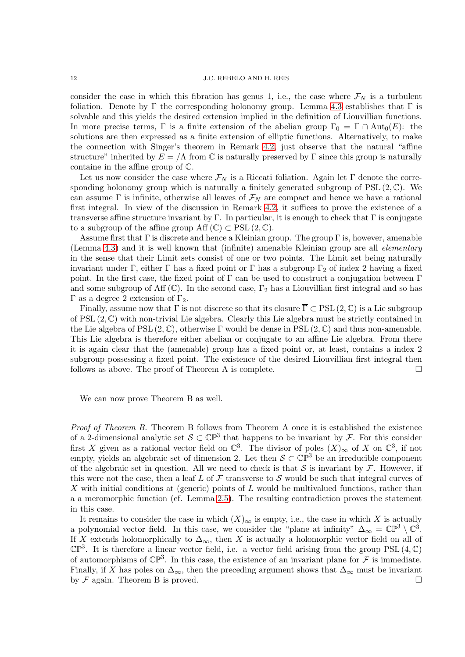consider the case in which this fibration has genus 1, i.e., the case where  $\mathcal{F}_N$  is a turbulent foliation. Denote by  $\Gamma$  the corresponding holonomy group. Lemma [4.3](#page-10-0) establishes that  $\Gamma$  is solvable and this yields the desired extension implied in the definition of Liouvillian functions. In more precise terms, Γ is a finite extension of the abelian group  $\Gamma_0 = \Gamma \cap \text{Aut}_0(E)$ : the solutions are then expressed as a finite extension of elliptic functions. Alternatively, to make the connection with Singer's theorem in Remark [4.2,](#page-9-1) just observe that the natural "affine structure" inherited by  $E = \Lambda$  from C is naturally preserved by  $\Gamma$  since this group is naturally containe in the affine group of C.

Let us now consider the case where  $\mathcal{F}_N$  is a Riccati foliation. Again let Γ denote the corresponding holonomy group which is naturally a finitely generated subgroup of  $PSL(2,\mathbb{C})$ . We can assume  $\Gamma$  is infinite, otherwise all leaves of  $\mathcal{F}_N$  are compact and hence we have a rational first integral. In view of the discussion in Remark [4.2,](#page-9-1) it suffices to prove the existence of a transverse affine structure invariant by Γ. In particular, it is enough to check that Γ is conjugate to a subgroup of the affine group  $\text{Aff}(\mathbb{C}) \subset \text{PSL}(2,\mathbb{C})$ .

Assume first that  $\Gamma$  is discrete and hence a Kleinian group. The group  $\Gamma$  is, however, amenable (Lemma [4.3\)](#page-10-0) and it is well known that (infinite) amenable Kleinian group are all elementary in the sense that their Limit sets consist of one or two points. The Limit set being naturally invariant under Γ, either Γ has a fixed point or Γ has a subgroup  $\Gamma_2$  of index 2 having a fixed point. In the first case, the fixed point of  $\Gamma$  can be used to construct a conjugation between  $\Gamma$ and some subgroup of Aff (C). In the second case,  $\Gamma_2$  has a Liouvillian first integral and so has  $Γ$  as a degree 2 extension of  $Γ_2$ .

Finally, assume now that  $\Gamma$  is not discrete so that its closure  $\overline{\Gamma} \subset \text{PSL}(2,\mathbb{C})$  is a Lie subgroup of  $PSL(2,\mathbb{C})$  with non-trivial Lie algebra. Clearly this Lie algebra must be strictly contained in the Lie algebra of PSL  $(2,\mathbb{C})$ , otherwise Γ would be dense in PSL  $(2,\mathbb{C})$  and thus non-amenable. This Lie algebra is therefore either abelian or conjugate to an affine Lie algebra. From there it is again clear that the (amenable) group has a fixed point or, at least, contains a index 2 subgroup possessing a fixed point. The existence of the desired Liouvillian first integral then follows as above. The proof of Theorem A is complete.

We can now prove Theorem B as well.

Proof of Theorem B. Theorem B follows from Theorem A once it is established the existence of a 2-dimensional analytic set  $S \subset \mathbb{CP}^3$  that happens to be invariant by F. For this consider first X given as a rational vector field on  $\mathbb{C}^3$ . The divisor of poles  $(X)_{\infty}$  of X on  $\mathbb{C}^3$ , if not empty, yields an algebraic set of dimension 2. Let then  $S \subset \mathbb{CP}^3$  be an irreducible component of the algebraic set in question. All we need to check is that S is invariant by  $\mathcal F$ . However, if this were not the case, then a leaf L of  $\mathcal F$  transverse to  $\mathcal S$  would be such that integral curves of X with initial conditions at (generic) points of L would be multivalued functions, rather than a a meromorphic function (cf. Lemma [2.5\)](#page-3-0). The resulting contradiction proves the statement in this case.

It remains to consider the case in which  $(X)_{\infty}$  is empty, i.e., the case in which X is actually a polynomial vector field. In this case, we consider the "plane at infinity"  $\Delta_{\infty} = \mathbb{CP}^3 \setminus \mathbb{C}^3$ . If X extends holomorphically to  $\Delta_{\infty}$ , then X is actually a holomorphic vector field on all of  $\mathbb{CP}^3$ . It is therefore a linear vector field, i.e. a vector field arising from the group PSL  $(4,\mathbb{C})$ of automorphisms of  $\mathbb{CP}^3$ . In this case, the existence of an invariant plane for  $\mathcal F$  is immediate. Finally, if X has poles on  $\Delta_{\infty}$ , then the preceding argument shows that  $\Delta_{\infty}$  must be invariant by  $\mathcal F$  again. Theorem B is proved.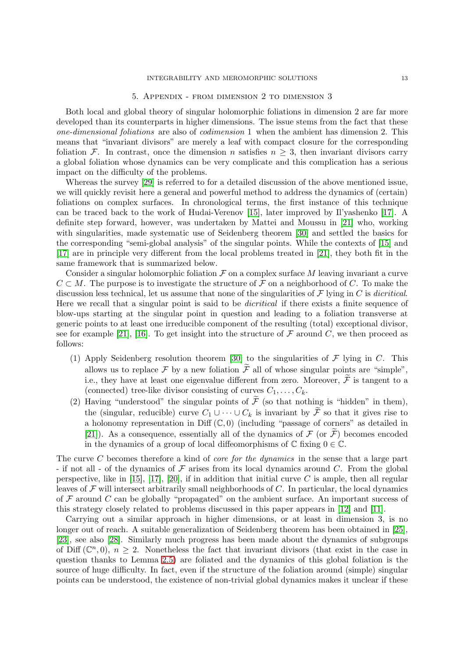#### INTEGRABILITY AND MEROMORPHIC SOLUTIONS 13

#### 5. Appendix - from dimension 2 to dimension 3

<span id="page-12-0"></span>Both local and global theory of singular holomorphic foliations in dimension 2 are far more developed than its counterparts in higher dimensions. The issue stems from the fact that these one-dimensional foliations are also of codimension 1 when the ambient has dimension 2. This means that "invariant divisors" are merely a leaf with compact closure for the corresponding foliation F. In contrast, once the dimension n satisfies  $n \geq 3$ , then invariant divisors carry a global foliation whose dynamics can be very complicate and this complication has a serious impact on the difficulty of the problems.

Whereas the survey [\[29\]](#page-14-1) is referred to for a detailed discussion of the above mentioned issue, we will quickly revisit here a general and powerful method to address the dynamics of (certain) foliations on complex surfaces. In chronological terms, the first instance of this technique can be traced back to the work of Hudai-Verenov [\[15\]](#page-13-17), later improved by Il'yashenko [\[17\]](#page-13-3). A definite step forward, however, was undertaken by Mattei and Moussu in [\[21\]](#page-14-2) who, working with singularities, made systematic use of Seidenberg theorem [\[30\]](#page-14-10) and settled the basics for the corresponding "semi-global analysis" of the singular points. While the contexts of [\[15\]](#page-13-17) and [\[17\]](#page-13-3) are in principle very different from the local problems treated in [\[21\]](#page-14-2), they both fit in the same framework that is summarized below.

Consider a singular holomorphic foliation  $\mathcal F$  on a complex surface M leaving invariant a curve  $C \subset M$ . The purpose is to investigate the structure of F on a neighborhood of C. To make the discussion less technical, let us assume that none of the singularities of  $\mathcal F$  lying in  $C$  is *dicritical*. Here we recall that a singular point is said to be dicritical if there exists a finite sequence of blow-ups starting at the singular point in question and leading to a foliation transverse at generic points to at least one irreducible component of the resulting (total) exceptional divisor, see for example [\[21\]](#page-14-2), [\[16\]](#page-13-18). To get insight into the structure of  $\mathcal F$  around  $C$ , we then proceed as follows:

- (1) Apply Seidenberg resolution theorem [\[30\]](#page-14-10) to the singularities of  $\mathcal F$  lying in C. This allows us to replace F by a new foliation  $\widetilde{\mathcal{F}}$  all of whose singular points are "simple". i.e., they have at least one eigenvalue different from zero. Moreover,  $\widetilde{\mathcal{F}}$  is tangent to a (connected) tree-like divisor consisting of curves  $C_1, \ldots, C_k$ .
- (2) Having "understood" the singular points of  $\tilde{\mathcal{F}}$  (so that nothing is "hidden" in them), the (singular, reducible) curve  $C_1 \cup \cdots \cup C_k$  is invariant by  $\widetilde{\mathcal{F}}$  so that it gives rise to a holonomy representation in Diff  $(\mathbb{C},0)$  (including "passage of corners" as detailed in [\[21\]](#page-14-2)). As a consequence, essentially all of the dynamics of  $\mathcal F$  (or  $\mathcal F$ ) becomes encoded in the dynamics of a group of local diffeomorphisms of  $\mathbb C$  fixing  $0 \in \mathbb C$ .

The curve C becomes therefore a kind of *core for the dynamics* in the sense that a large part - if not all - of the dynamics of  $\mathcal F$  arises from its local dynamics around C. From the global perspective, like in [\[15\]](#page-13-17), [\[17\]](#page-13-3), [\[20\]](#page-14-11), if in addition that initial curve C is ample, then all regular leaves of  $\mathcal F$  will intersect arbitrarily small neighborhoods of  $C$ . In particular, the local dynamics of  $F$  around  $C$  can be globally "propagated" on the ambient surface. An important success of this strategy closely related to problems discussed in this paper appears in [\[12\]](#page-13-4) and [\[11\]](#page-13-10).

Carrying out a similar approach in higher dimensions, or at least in dimension 3, is no longer out of reach. A suitable generalization of Seidenberg theorem has been obtained in [\[25\]](#page-14-6), [\[23\]](#page-14-5), see also [\[28\]](#page-14-7). Similarly much progress has been made about the dynamics of subgroups of Diff  $(\mathbb{C}^n,0), n \geq 2$ . Nonetheless the fact that invariant divisors (that exist in the case in question thanks to Lemma [2.5\)](#page-3-0) are foliated and the dynamics of this global foliation is the source of huge difficulty. In fact, even if the structure of the foliation around (simple) singular points can be understood, the existence of non-trivial global dynamics makes it unclear if these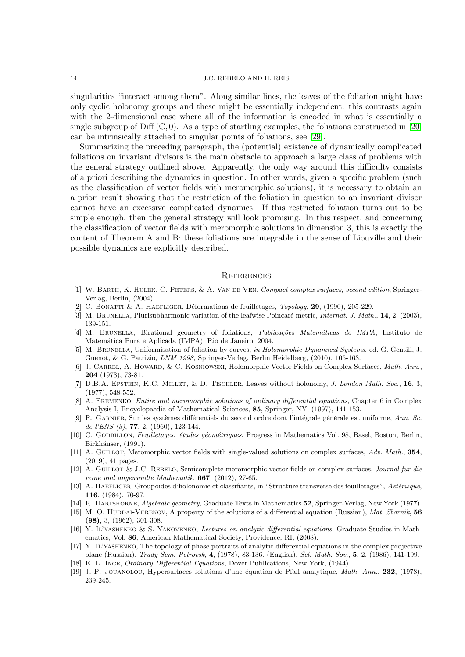singularities "interact among them". Along similar lines, the leaves of the foliation might have only cyclic holonomy groups and these might be essentially independent: this contrasts again with the 2-dimensional case where all of the information is encoded in what is essentially a single subgroup of Diff  $(\mathbb{C}, 0)$ . As a type of startling examples, the foliations constructed in [\[20\]](#page-14-11) can be intrinsically attached to singular points of foliations, see [\[29\]](#page-14-1).

Summarizing the preceding paragraph, the (potential) existence of dynamically complicated foliations on invariant divisors is the main obstacle to approach a large class of problems with the general strategy outlined above. Apparently, the only way around this difficulty consists of a priori describing the dynamics in question. In other words, given a specific problem (such as the classification of vector fields with meromorphic solutions), it is necessary to obtain an a priori result showing that the restriction of the foliation in question to an invariant divisor cannot have an excessive complicated dynamics. If this restricted foliation turns out to be simple enough, then the general strategy will look promising. In this respect, and concerning the classification of vector fields with meromorphic solutions in dimension 3, this is exactly the content of Theorem A and B: these foliations are integrable in the sense of Liouville and their possible dynamics are explicitly described.

#### **REFERENCES**

- <span id="page-13-14"></span>[1] W. BARTH, K. HULEK, C. PETERS, & A. VAN DE VEN, Compact complex surfaces, second edition, Springer-Verlag, Berlin, (2004).
- <span id="page-13-12"></span><span id="page-13-5"></span>[2] C. BONATTI & A. HAEFLIGER, Déformations de feuilletages,  $T_{\text{opology}}$ , 29, (1990), 205-229.
- <span id="page-13-7"></span>[3] M. BRUNELLA, Plurisubharmonic variation of the leafwise Poincaré metric, Internat. J. Math., 14, 2, (2003), 139-151.
- [4] M. BRUNELLA, Birational geometry of foliations, *Publicações Matemáticas do IMPA*, Instituto de Matemática Pura e Aplicada (IMPA), Rio de Janeiro, 2004.
- <span id="page-13-6"></span>[5] M. BRUNELLA, Uniformisation of foliation by curves, in Holomorphic Dynamical Systems, ed. G. Gentili, J. Guenot, & G. Patrizio, LNM 1998, Springer-Verlag, Berlin Heidelberg, (2010), 105-163.
- <span id="page-13-15"></span>[6] J. CARREL, A. HOWARD, & C. KOSNIOWSKI, Holomorphic Vector Fields on Complex Surfaces, Math. Ann., 204 (1973), 73-81.
- <span id="page-13-11"></span>[7] D.B.A. EPSTEIN, K.C. MILLET, & D. TISCHLER, Leaves without holonomy, J. London Math. Soc., 16, 3, (1977), 548-552.
- <span id="page-13-0"></span>[8] A. Eremenko, Entire and meromorphic solutions of ordinary differential equations, Chapter 6 in Complex Analysis I, Encyclopaedia of Mathematical Sciences, 85, Springer, NY, (1997), 141-153.
- <span id="page-13-2"></span>[9] R. GARNIER, Sur les systèmes différentiels du second ordre dont l'intégrale générale est uniforme, Ann. Sc. de l'ENS (3), **77**, 2, (1960), 123-144.
- <span id="page-13-9"></span>[10] C. GODBILLON, Feuilletages: études géométriques, Progress in Mathematics Vol. 98, Basel, Boston, Berlin, Birkhäuser, (1991).
- <span id="page-13-10"></span>[11] A. GUILLOT, Meromorphic vector fields with single-valued solutions on complex surfaces, Adv. Math., 354, (2019), 41 pages.
- <span id="page-13-4"></span>[12] A. Guillot & J.C. Rebelo, Semicomplete meromorphic vector fields on complex surfaces, Journal fur die reine und angewandte Mathematik, 667, (2012), 27-65.
- <span id="page-13-8"></span>[13] A. HAEFLIGER, Groupoides d'holonomie et classifiants, in "Structure transverse des feuilletages", Astérisque, 116, (1984), 70-97.
- <span id="page-13-17"></span><span id="page-13-16"></span>[14] R. Hartshorne, Algebraic geometry, Graduate Texts in Mathematics 52, Springer-Verlag, New York (1977).
- [15] M. O. HUDDAI-VERENOV, A property of the solutions of a differential equation (Russian), Mat. Sbornik, 56  $(98)$ , 3,  $(1962)$ , 301-308.
- <span id="page-13-18"></span>[16] Y. IL'YASHENKO & S. YAKOVENKO, Lectures on analytic differential equations, Graduate Studies in Mathematics, Vol. 86, American Mathematical Society, Providence, RI, (2008).
- <span id="page-13-3"></span>[17] Y. Il'yashenko, The topology of phase portraits of analytic differential equations in the complex projective plane (Russian), Trudy Sem. Petrovsk, 4, (1978), 83-136. (English), Sel. Math. Sov., 5, 2, (1986), 141-199.
- <span id="page-13-13"></span><span id="page-13-1"></span>[18] E. L. Ince, Ordinary Differential Equations, Dover Publications, New York, (1944).
- [19] J.-P. JOUANOLOU, Hypersurfaces solutions d'une équation de Pfaff analytique, Math. Ann., 232, (1978), 239-245.